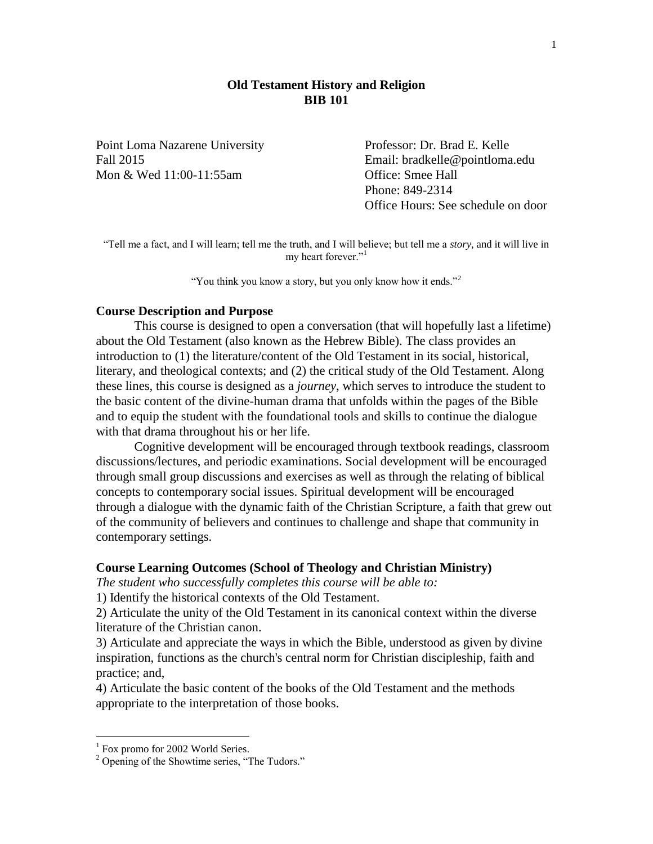## **Old Testament History and Religion BIB 101**

Point Loma Nazarene University Professor: Dr. Brad E. Kelle Mon & Wed 11:00-11:55am Office: Smee Hall

Fall 2015 Email: bradkelle@pointloma.edu Phone: 849-2314 Office Hours: See schedule on door

"Tell me a fact, and I will learn; tell me the truth, and I will believe; but tell me a *story*, and it will live in my heart forever."<sup>1</sup>

"You think you know a story, but you only know how it ends."<sup>2</sup>

### **Course Description and Purpose**

This course is designed to open a conversation (that will hopefully last a lifetime) about the Old Testament (also known as the Hebrew Bible). The class provides an introduction to (1) the literature/content of the Old Testament in its social, historical, literary, and theological contexts; and (2) the critical study of the Old Testament. Along these lines, this course is designed as a *journey*, which serves to introduce the student to the basic content of the divine-human drama that unfolds within the pages of the Bible and to equip the student with the foundational tools and skills to continue the dialogue with that drama throughout his or her life.

Cognitive development will be encouraged through textbook readings, classroom discussions/lectures, and periodic examinations. Social development will be encouraged through small group discussions and exercises as well as through the relating of biblical concepts to contemporary social issues. Spiritual development will be encouraged through a dialogue with the dynamic faith of the Christian Scripture, a faith that grew out of the community of believers and continues to challenge and shape that community in contemporary settings.

#### **Course Learning Outcomes (School of Theology and Christian Ministry)**

*The student who successfully completes this course will be able to:*

1) Identify the historical contexts of the Old Testament.

2) Articulate the unity of the Old Testament in its canonical context within the diverse literature of the Christian canon.

3) Articulate and appreciate the ways in which the Bible, understood as given by divine inspiration, functions as the church's central norm for Christian discipleship, faith and practice; and,

4) Articulate the basic content of the books of the Old Testament and the methods appropriate to the interpretation of those books.

 $\overline{a}$ 

<sup>&</sup>lt;sup>1</sup> Fox promo for 2002 World Series.

<sup>&</sup>lt;sup>2</sup> Opening of the Showtime series, "The Tudors."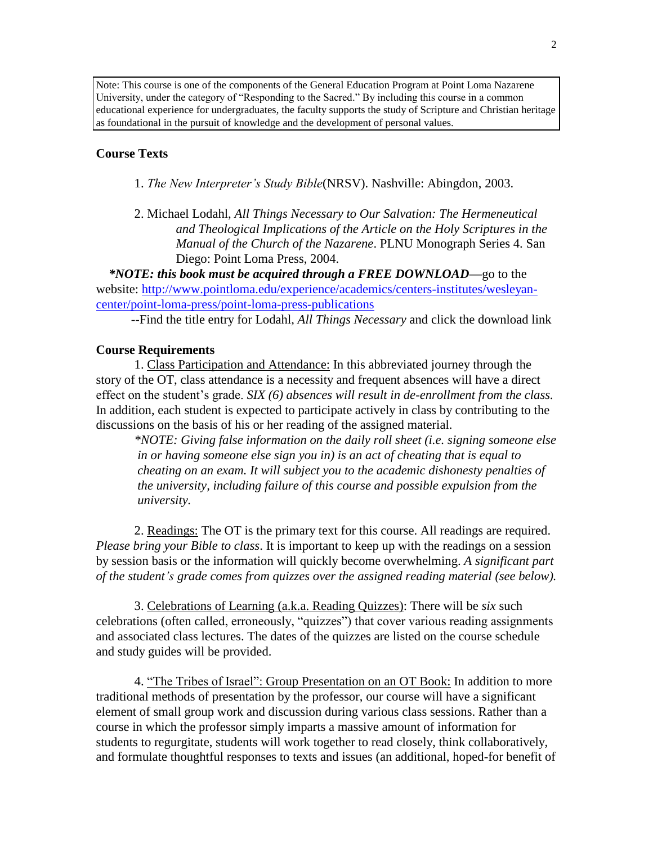Note: This course is one of the components of the General Education Program at Point Loma Nazarene University, under the category of "Responding to the Sacred." By including this course in a common educational experience for undergraduates, the faculty supports the study of Scripture and Christian heritage as foundational in the pursuit of knowledge and the development of personal values.

## **Course Texts**

- 1. *The New Interpreter's Study Bible*(NRSV). Nashville: Abingdon, 2003.
- 2. Michael Lodahl, *All Things Necessary to Our Salvation: The Hermeneutical and Theological Implications of the Article on the Holy Scriptures in the Manual of the Church of the Nazarene*. PLNU Monograph Series 4. San Diego: Point Loma Press, 2004.

 *\*NOTE: this book must be acquired through a FREE DOWNLOAD—*go to the website: [http://www.pointloma.edu/experience/academics/centers-institutes/wesleyan](http://www.pointloma.edu/experience/academics/centers-institutes/wesleyan-center/point-loma-press/point-loma-press-publications)[center/point-loma-press/point-loma-press-publications](http://www.pointloma.edu/experience/academics/centers-institutes/wesleyan-center/point-loma-press/point-loma-press-publications)

--Find the title entry for Lodahl, *All Things Necessary* and click the download link

## **Course Requirements**

1. Class Participation and Attendance: In this abbreviated journey through the story of the OT, class attendance is a necessity and frequent absences will have a direct effect on the student's grade. *SIX (6) absences will result in de-enrollment from the class.* In addition, each student is expected to participate actively in class by contributing to the discussions on the basis of his or her reading of the assigned material.

*\*NOTE: Giving false information on the daily roll sheet (i.e. signing someone else in or having someone else sign you in) is an act of cheating that is equal to cheating on an exam. It will subject you to the academic dishonesty penalties of the university, including failure of this course and possible expulsion from the university.*

2. Readings: The OT is the primary text for this course. All readings are required. *Please bring your Bible to class*. It is important to keep up with the readings on a session by session basis or the information will quickly become overwhelming. *A significant part of the student's grade comes from quizzes over the assigned reading material (see below).*

3. Celebrations of Learning (a.k.a. Reading Quizzes): There will be *six* such celebrations (often called, erroneously, "quizzes") that cover various reading assignments and associated class lectures. The dates of the quizzes are listed on the course schedule and study guides will be provided.

4. "The Tribes of Israel": Group Presentation on an OT Book: In addition to more traditional methods of presentation by the professor, our course will have a significant element of small group work and discussion during various class sessions. Rather than a course in which the professor simply imparts a massive amount of information for students to regurgitate, students will work together to read closely, think collaboratively, and formulate thoughtful responses to texts and issues (an additional, hoped-for benefit of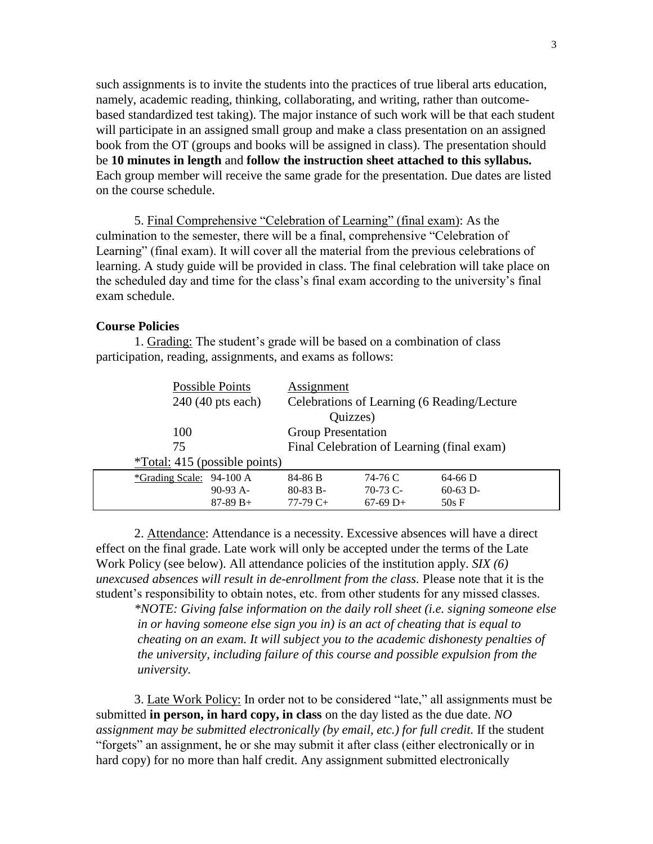such assignments is to invite the students into the practices of true liberal arts education, namely, academic reading, thinking, collaborating, and writing, rather than outcomebased standardized test taking). The major instance of such work will be that each student will participate in an assigned small group and make a class presentation on an assigned book from the OT (groups and books will be assigned in class). The presentation should be **10 minutes in length** and **follow the instruction sheet attached to this syllabus.** Each group member will receive the same grade for the presentation. Due dates are listed on the course schedule.

5. Final Comprehensive "Celebration of Learning" (final exam): As the culmination to the semester, there will be a final, comprehensive "Celebration of Learning" (final exam). It will cover all the material from the previous celebrations of learning. A study guide will be provided in class. The final celebration will take place on the scheduled day and time for the class's final exam according to the university's final exam schedule.

#### **Course Policies**

1. Grading: The student's grade will be based on a combination of class participation, reading, assignments, and exams as follows:

| Possible Points                 | Assignment                                  |            |
|---------------------------------|---------------------------------------------|------------|
| 240 (40 pts each)               | Celebrations of Learning (6 Reading/Lecture |            |
| Quizzes)                        |                                             |            |
| 100                             | <b>Group Presentation</b>                   |            |
| 75                              | Final Celebration of Learning (final exam)  |            |
| $*Total: 415$ (possible points) |                                             |            |
| *Grading Scale: 94-100 A        | 74-76 C<br>84-86 B                          | $64-66$ D  |
| $90-93$ A-                      | $80-83 B -$<br>$70-73$ C-                   | $60-63$ D- |
| $87-89 B+$                      | $77-79C+$<br>$67-69$ D+                     | 50s F      |

2. Attendance: Attendance is a necessity. Excessive absences will have a direct effect on the final grade. Late work will only be accepted under the terms of the Late Work Policy (see below). All attendance policies of the institution apply. *SIX (6) unexcused absences will result in de-enrollment from the class.* Please note that it is the student's responsibility to obtain notes, etc. from other students for any missed classes.

*\*NOTE: Giving false information on the daily roll sheet (i.e. signing someone else in or having someone else sign you in) is an act of cheating that is equal to cheating on an exam. It will subject you to the academic dishonesty penalties of the university, including failure of this course and possible expulsion from the university.*

3. Late Work Policy: In order not to be considered "late," all assignments must be submitted **in person, in hard copy, in class** on the day listed as the due date. *NO assignment may be submitted electronically (by email, etc.) for full credit.* If the student "forgets" an assignment, he or she may submit it after class (either electronically or in hard copy) for no more than half credit. Any assignment submitted electronically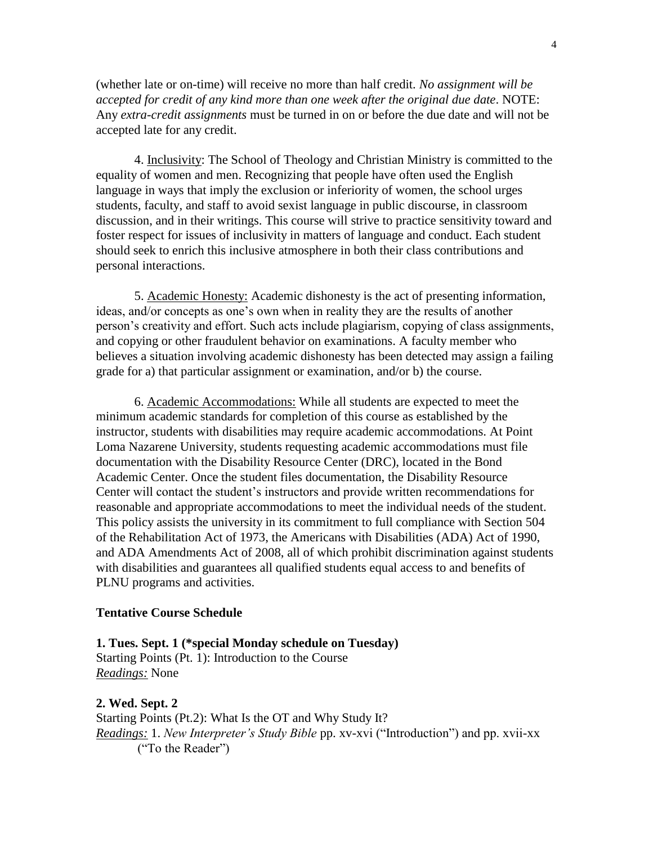(whether late or on-time) will receive no more than half credit*. No assignment will be accepted for credit of any kind more than one week after the original due date*. NOTE: Any *extra-credit assignments* must be turned in on or before the due date and will not be accepted late for any credit.

4. Inclusivity: The School of Theology and Christian Ministry is committed to the equality of women and men. Recognizing that people have often used the English language in ways that imply the exclusion or inferiority of women, the school urges students, faculty, and staff to avoid sexist language in public discourse, in classroom discussion, and in their writings. This course will strive to practice sensitivity toward and foster respect for issues of inclusivity in matters of language and conduct. Each student should seek to enrich this inclusive atmosphere in both their class contributions and personal interactions.

5. Academic Honesty: Academic dishonesty is the act of presenting information, ideas, and/or concepts as one's own when in reality they are the results of another person's creativity and effort. Such acts include plagiarism, copying of class assignments, and copying or other fraudulent behavior on examinations. A faculty member who believes a situation involving academic dishonesty has been detected may assign a failing grade for a) that particular assignment or examination, and/or b) the course.

6. Academic Accommodations: While all students are expected to meet the minimum academic standards for completion of this course as established by the instructor, students with disabilities may require academic accommodations. At Point Loma Nazarene University, students requesting academic accommodations must file documentation with the Disability Resource Center (DRC), located in the Bond Academic Center. Once the student files documentation, the Disability Resource Center will contact the student's instructors and provide written recommendations for reasonable and appropriate accommodations to meet the individual needs of the student. This policy assists the university in its commitment to full compliance with Section 504 of the Rehabilitation Act of 1973, the Americans with Disabilities (ADA) Act of 1990, and ADA Amendments Act of 2008, all of which prohibit discrimination against students with disabilities and guarantees all qualified students equal access to and benefits of PLNU programs and activities.

#### **Tentative Course Schedule**

**1. Tues. Sept. 1 (\*special Monday schedule on Tuesday)** Starting Points (Pt. 1): Introduction to the Course *Readings:* None

**2. Wed. Sept. 2** Starting Points (Pt.2): What Is the OT and Why Study It? *Readings:* 1. *New Interpreter's Study Bible* pp. xv-xvi ("Introduction") and pp. xvii-xx ("To the Reader")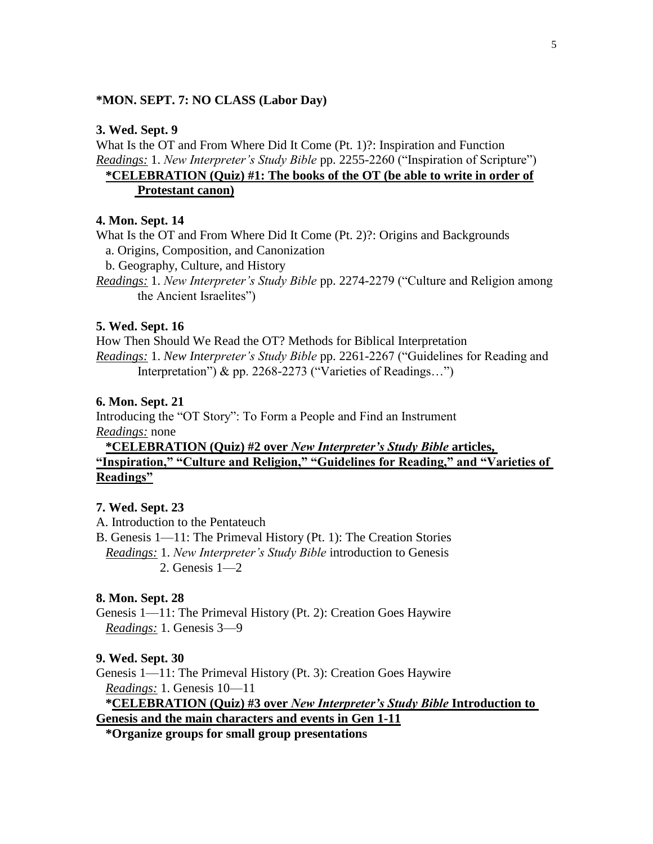## **\*MON. SEPT. 7: NO CLASS (Labor Day)**

## **3. Wed. Sept. 9**

What Is the OT and From Where Did It Come (Pt. 1)?: Inspiration and Function *Readings:* 1. *New Interpreter's Study Bible* pp. 2255-2260 ("Inspiration of Scripture")

# **\*CELEBRATION (Quiz) #1: The books of the OT (be able to write in order of Protestant canon)**

### **4. Mon. Sept. 14**

What Is the OT and From Where Did It Come (Pt. 2)?: Origins and Backgrounds

a. Origins, Composition, and Canonization

b. Geography, Culture, and History

*Readings:* 1. *New Interpreter's Study Bible* pp. 2274-2279 ("Culture and Religion among the Ancient Israelites")

#### **5. Wed. Sept. 16**

How Then Should We Read the OT? Methods for Biblical Interpretation *Readings:* 1. *New Interpreter's Study Bible* pp. 2261-2267 ("Guidelines for Reading and Interpretation") & pp. 2268-2273 ("Varieties of Readings…")

#### **6. Mon. Sept. 21**

Introducing the "OT Story": To Form a People and Find an Instrument *Readings:* none

 **\*CELEBRATION (Quiz) #2 over** *New Interpreter's Study Bible* **articles, "Inspiration," "Culture and Religion," "Guidelines for Reading," and "Varieties of Readings"**

#### **7. Wed. Sept. 23**

A. Introduction to the Pentateuch

B. Genesis 1—11: The Primeval History (Pt. 1): The Creation Stories *Readings:* 1. *New Interpreter's Study Bible* introduction to Genesis 2. Genesis 1—2

## **8. Mon. Sept. 28**

Genesis 1—11: The Primeval History (Pt. 2): Creation Goes Haywire *Readings:* 1. Genesis 3—9

#### **9. Wed. Sept. 30**

Genesis 1—11: The Primeval History (Pt. 3): Creation Goes Haywire *Readings:* 1. Genesis 10—11 **\*CELEBRATION (Quiz) #3 over** *New Interpreter's Study Bible* **Introduction to** 

**Genesis and the main characters and events in Gen 1-11**

 **\*Organize groups for small group presentations**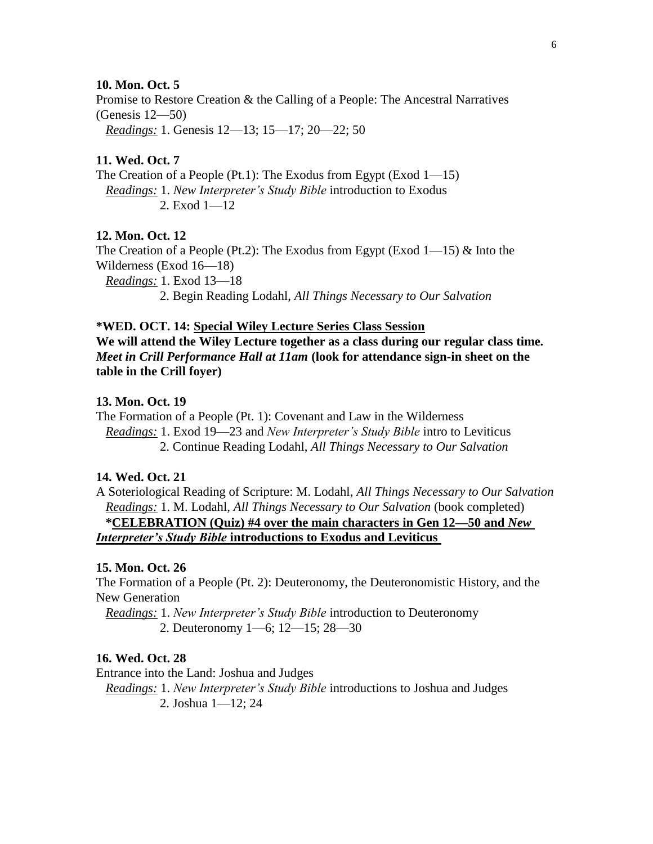### **10. Mon. Oct. 5**

Promise to Restore Creation & the Calling of a People: The Ancestral Narratives (Genesis 12—50)

*Readings:* 1. Genesis 12—13; 15—17; 20—22; 50

### **11. Wed. Oct. 7**

The Creation of a People (Pt.1): The Exodus from Egypt (Exod 1—15) *Readings:* 1. *New Interpreter's Study Bible* introduction to Exodus 2. Exod 1—12

### **12. Mon. Oct. 12**

The Creation of a People (Pt.2): The Exodus from Egypt (Exod  $1$ —15) & Into the Wilderness (Exod 16—18)

 *Readings:* 1. Exod 13—18 2. Begin Reading Lodahl, *All Things Necessary to Our Salvation*

#### **\*WED. OCT. 14: Special Wiley Lecture Series Class Session**

**We will attend the Wiley Lecture together as a class during our regular class time.**  *Meet in Crill Performance Hall at 11am* **(look for attendance sign-in sheet on the table in the Crill foyer)**

#### **13. Mon. Oct. 19**

The Formation of a People (Pt. 1): Covenant and Law in the Wilderness *Readings:* 1. Exod 19—23 and *New Interpreter's Study Bible* intro to Leviticus 2. Continue Reading Lodahl, *All Things Necessary to Our Salvation*

## **14. Wed. Oct. 21**

A Soteriological Reading of Scripture: M. Lodahl, *All Things Necessary to Our Salvation Readings:* 1. M. Lodahl, *All Things Necessary to Our Salvation* (book completed) **\*CELEBRATION (Quiz) #4 over the main characters in Gen 12—50 and** *New Interpreter's Study Bible* **introductions to Exodus and Leviticus** 

### **15. Mon. Oct. 26**

The Formation of a People (Pt. 2): Deuteronomy, the Deuteronomistic History, and the New Generation

 *Readings:* 1. *New Interpreter's Study Bible* introduction to Deuteronomy 2. Deuteronomy 1—6; 12—15; 28—30

## **16. Wed. Oct. 28**

Entrance into the Land: Joshua and Judges

 *Readings:* 1. *New Interpreter's Study Bible* introductions to Joshua and Judges 2. Joshua 1—12; 24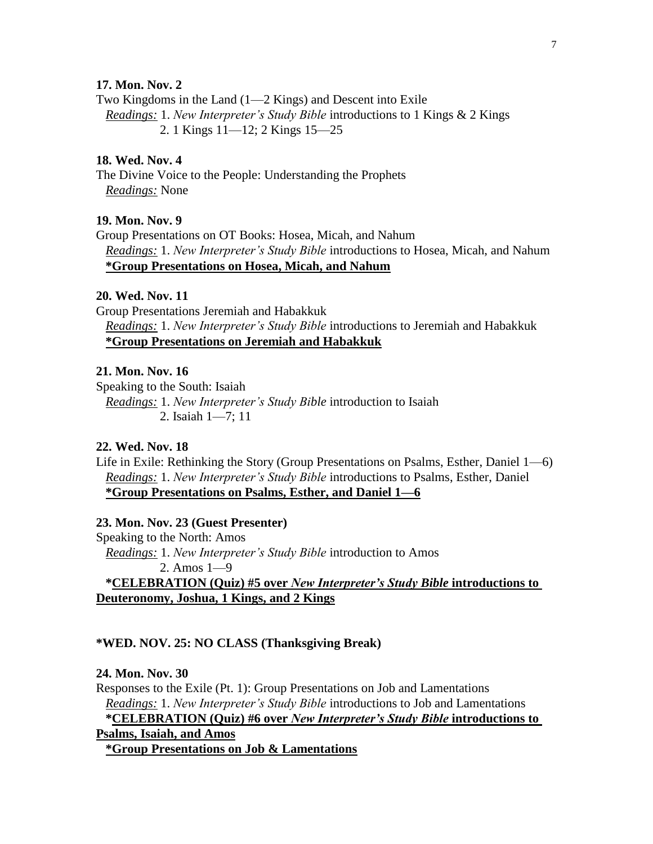## **17. Mon. Nov. 2**

Two Kingdoms in the Land (1—2 Kings) and Descent into Exile *Readings:* 1. *New Interpreter's Study Bible* introductions to 1 Kings & 2 Kings 2. 1 Kings 11—12; 2 Kings 15—25

### **18. Wed. Nov. 4**

The Divine Voice to the People: Understanding the Prophets *Readings:* None

## **19. Mon. Nov. 9**

Group Presentations on OT Books: Hosea, Micah, and Nahum *Readings:* 1. *New Interpreter's Study Bible* introductions to Hosea, Micah, and Nahum **\*Group Presentations on Hosea, Micah, and Nahum**

### **20. Wed. Nov. 11**

Group Presentations Jeremiah and Habakkuk *Readings:* 1. *New Interpreter's Study Bible* introductions to Jeremiah and Habakkuk **\*Group Presentations on Jeremiah and Habakkuk**

## **21. Mon. Nov. 16**

Speaking to the South: Isaiah *Readings:* 1. *New Interpreter's Study Bible* introduction to Isaiah 2. Isaiah 1—7; 11

### **22. Wed. Nov. 18**

Life in Exile: Rethinking the Story (Group Presentations on Psalms, Esther, Daniel 1—6) *Readings:* 1. *New Interpreter's Study Bible* introductions to Psalms, Esther, Daniel **\*Group Presentations on Psalms, Esther, and Daniel 1—6**

## **23. Mon. Nov. 23 (Guest Presenter)**

Speaking to the North: Amos *Readings:* 1. *New Interpreter's Study Bible* introduction to Amos 2. Amos 1—9 **\*CELEBRATION (Quiz) #5 over** *New Interpreter's Study Bible* **introductions to Deuteronomy, Joshua, 1 Kings, and 2 Kings**

#### **\*WED. NOV. 25: NO CLASS (Thanksgiving Break)**

#### **24. Mon. Nov. 30**

Responses to the Exile (Pt. 1): Group Presentations on Job and Lamentations *Readings:* 1. *New Interpreter's Study Bible* introductions to Job and Lamentations **\*CELEBRATION (Quiz) #6 over** *New Interpreter's Study Bible* **introductions to Psalms, Isaiah, and Amos \*Group Presentations on Job & Lamentations**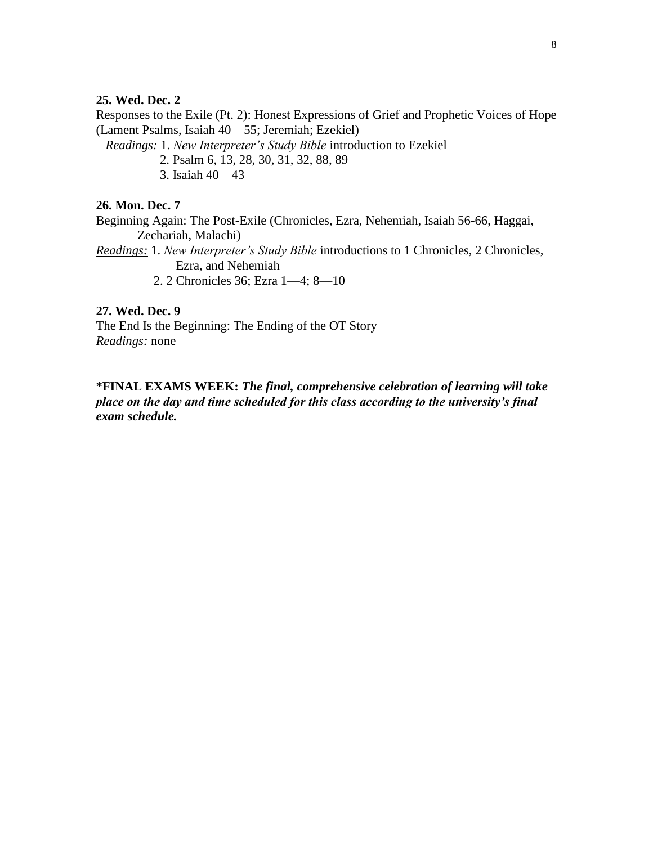## **25. Wed. Dec. 2**

Responses to the Exile (Pt. 2): Honest Expressions of Grief and Prophetic Voices of Hope (Lament Psalms, Isaiah 40—55; Jeremiah; Ezekiel)

 *Readings:* 1. *New Interpreter's Study Bible* introduction to Ezekiel 2. Psalm 6, 13, 28, 30, 31, 32, 88, 89 3. Isaiah 40—43

## **26. Mon. Dec. 7**

Beginning Again: The Post-Exile (Chronicles, Ezra, Nehemiah, Isaiah 56-66, Haggai, Zechariah, Malachi) *Readings:* 1. *New Interpreter's Study Bible* introductions to 1 Chronicles, 2 Chronicles, Ezra, and Nehemiah

2. 2 Chronicles 36; Ezra 1—4; 8—10

**27. Wed. Dec. 9** The End Is the Beginning: The Ending of the OT Story *Readings:* none

# **\*FINAL EXAMS WEEK:** *The final, comprehensive celebration of learning will take place on the day and time scheduled for this class according to the university's final exam schedule.*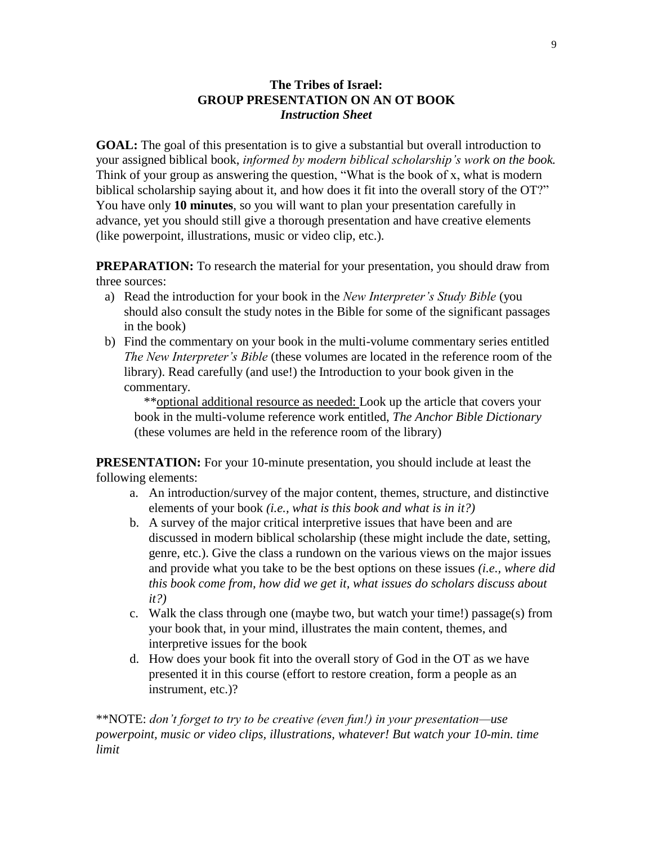# **The Tribes of Israel: GROUP PRESENTATION ON AN OT BOOK** *Instruction Sheet*

**GOAL:** The goal of this presentation is to give a substantial but overall introduction to your assigned biblical book, *informed by modern biblical scholarship's work on the book.* Think of your group as answering the question, "What is the book of x, what is modern biblical scholarship saying about it, and how does it fit into the overall story of the OT?" You have only **10 minutes**, so you will want to plan your presentation carefully in advance, yet you should still give a thorough presentation and have creative elements (like powerpoint, illustrations, music or video clip, etc.).

**PREPARATION:** To research the material for your presentation, you should draw from three sources:

- a) Read the introduction for your book in the *New Interpreter's Study Bible* (you should also consult the study notes in the Bible for some of the significant passages in the book)
- b) Find the commentary on your book in the multi-volume commentary series entitled *The New Interpreter's Bible* (these volumes are located in the reference room of the library). Read carefully (and use!) the Introduction to your book given in the commentary.

 \*\*optional additional resource as needed: Look up the article that covers your book in the multi-volume reference work entitled, *The Anchor Bible Dictionary*  (these volumes are held in the reference room of the library)

**PRESENTATION:** For your 10-minute presentation, you should include at least the following elements:

- a. An introduction/survey of the major content, themes, structure, and distinctive elements of your book *(i.e., what is this book and what is in it?)*
- b. A survey of the major critical interpretive issues that have been and are discussed in modern biblical scholarship (these might include the date, setting, genre, etc.). Give the class a rundown on the various views on the major issues and provide what you take to be the best options on these issues *(i.e., where did this book come from, how did we get it, what issues do scholars discuss about it?)*
- c. Walk the class through one (maybe two, but watch your time!) passage(s) from your book that, in your mind, illustrates the main content, themes, and interpretive issues for the book
- d. How does your book fit into the overall story of God in the OT as we have presented it in this course (effort to restore creation, form a people as an instrument, etc.)?

\*\*NOTE: *don't forget to try to be creative (even fun!) in your presentation—use powerpoint, music or video clips, illustrations, whatever! But watch your 10-min. time limit*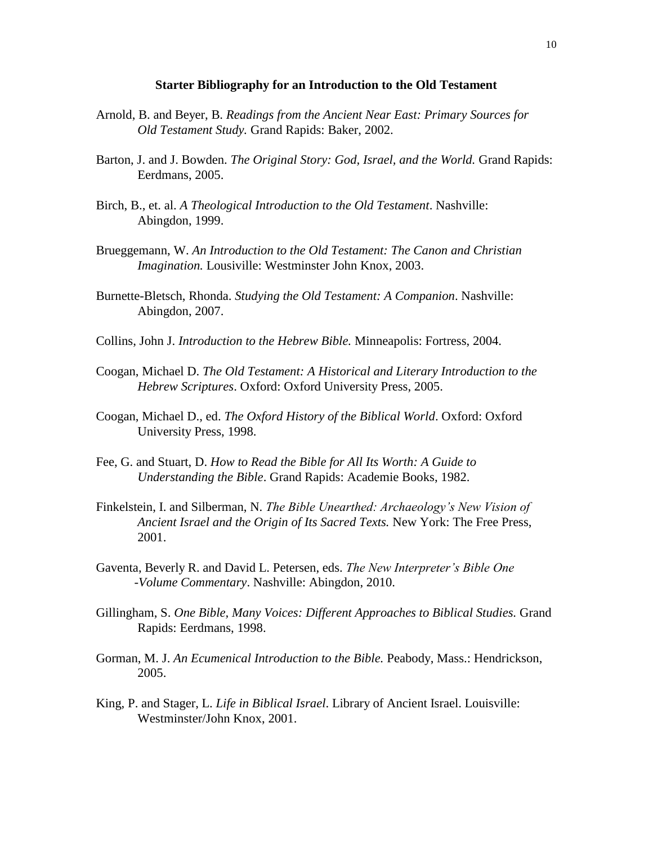#### **Starter Bibliography for an Introduction to the Old Testament**

- Arnold, B. and Beyer, B. *Readings from the Ancient Near East: Primary Sources for Old Testament Study.* Grand Rapids: Baker, 2002.
- Barton, J. and J. Bowden. *The Original Story: God, Israel, and the World.* Grand Rapids: Eerdmans, 2005.
- Birch, B., et. al. *A Theological Introduction to the Old Testament*. Nashville: Abingdon, 1999.
- Brueggemann, W. *An Introduction to the Old Testament: The Canon and Christian Imagination.* Lousiville: Westminster John Knox, 2003.
- Burnette-Bletsch, Rhonda. *Studying the Old Testament: A Companion*. Nashville: Abingdon, 2007.
- Collins, John J. *Introduction to the Hebrew Bible.* Minneapolis: Fortress, 2004.
- Coogan, Michael D. *The Old Testament: A Historical and Literary Introduction to the Hebrew Scriptures*. Oxford: Oxford University Press, 2005.
- Coogan, Michael D., ed. *The Oxford History of the Biblical World*. Oxford: Oxford University Press, 1998.
- Fee, G. and Stuart, D. *How to Read the Bible for All Its Worth: A Guide to Understanding the Bible*. Grand Rapids: Academie Books, 1982.
- Finkelstein, I. and Silberman, N. *The Bible Unearthed: Archaeology's New Vision of Ancient Israel and the Origin of Its Sacred Texts.* New York: The Free Press, 2001.
- Gaventa, Beverly R. and David L. Petersen, eds. *The New Interpreter's Bible One -Volume Commentary*. Nashville: Abingdon, 2010.
- Gillingham, S. *One Bible, Many Voices: Different Approaches to Biblical Studies.* Grand Rapids: Eerdmans, 1998.
- Gorman, M. J. *An Ecumenical Introduction to the Bible.* Peabody, Mass.: Hendrickson, 2005.
- King, P. and Stager, L. *Life in Biblical Israel*. Library of Ancient Israel. Louisville: Westminster/John Knox, 2001.